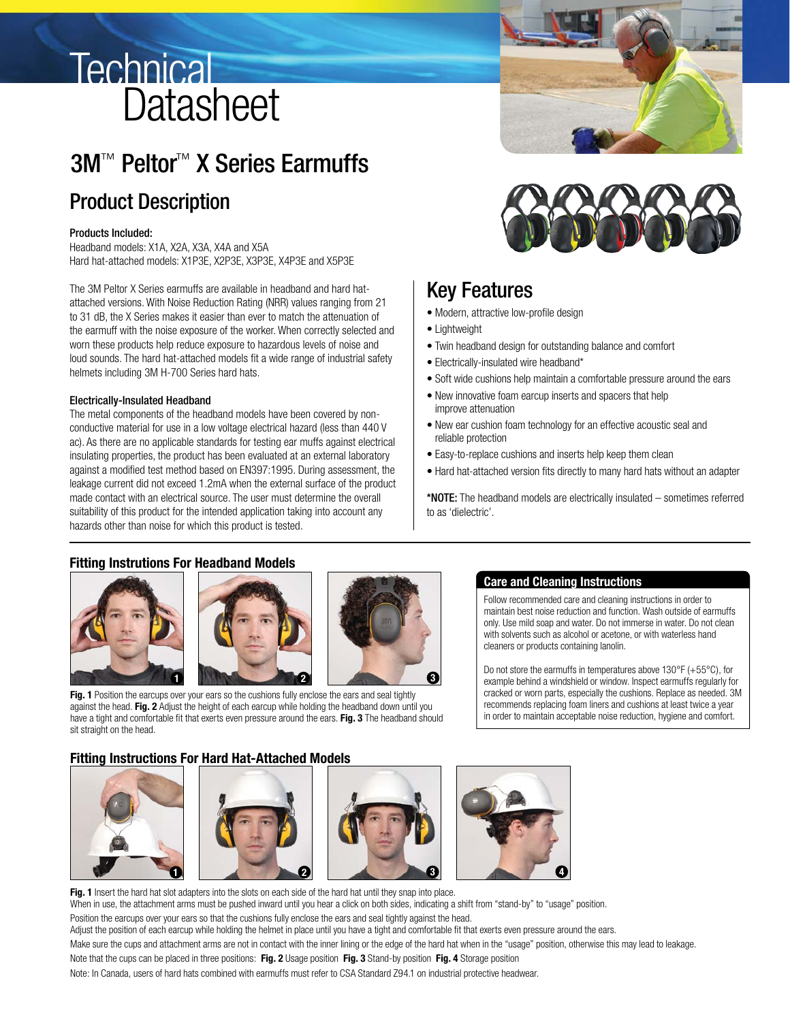# **Technical Datasheet**

# 3M™ Peltor™ X Series Earmuffs

# Product Description

### Products Included:

Headband models: X1A, X2A, X3A, X4A and X5A Hard hat-attached models: X1P3E, X2P3E, X3P3E, X4P3E and X5P3E

The 3M Peltor X Series earmuffs are available in headband and hard hatattached versions. With Noise Reduction Rating (NRR) values ranging from 21 to 31 dB, the X Series makes it easier than ever to match the attenuation of the earmuff with the noise exposure of the worker. When correctly selected and worn these products help reduce exposure to hazardous levels of noise and loud sounds. The hard hat-attached models fit a wide range of industrial safety helmets including 3M H-700 Series hard hats.

### Electrically-Insulated Headband

The metal components of the headband models have been covered by nonconductive material for use in a low voltage electrical hazard (less than 440 V ac). As there are no applicable standards for testing ear muffs against electrical insulating properties, the product has been evaluated at an external laboratory against a modified test method based on EN397:1995. During assessment, the leakage current did not exceed 1.2mA when the external surface of the product made contact with an electrical source. The user must determine the overall suitability of this product for the intended application taking into account any hazards other than noise for which this product is tested.



# Key Features

- Modern, attractive low-profile design
- Lightweight
- Twin headband design for outstanding balance and comfort
- Electrically-insulated wire headband\*
- Soft wide cushions help maintain a comfortable pressure around the ears
- New innovative foam earcup inserts and spacers that help improve attenuation
- New ear cushion foam technology for an effective acoustic seal and reliable protection
- Easy-to-replace cushions and inserts help keep them clean
- Hard hat-attached version fits directly to many hard hats without an adapter

\*NOTE: The headband models are electrically insulated – sometimes referred to as 'dielectric'.

### **Fitting Instrutions For Headband Models**







Fig. 1 Position the earcups over your ears so the cushions fully enclose the ears and seal tightly against the head. **Fig. 2** Adjust the height of each earcup while holding the headband down until you have a tight and comfortable fit that exerts even pressure around the ears. **Fig. 3** The headband should sit straight on the head.

#### **Care and Cleaning Instructions**

Follow recommended care and cleaning instructions in order to maintain best noise reduction and function. Wash outside of earmuffs only. Use mild soap and water. Do not immerse in water. Do not clean with solvents such as alcohol or acetone, or with waterless hand cleaners or products containing lanolin.

Do not store the earmuffs in temperatures above 130°F (+55°C), for example behind a windshield or window. Inspect earmuffs regularly for cracked or worn parts, especially the cushions. Replace as needed. 3M recommends replacing foam liners and cushions at least twice a year in order to maintain acceptable noise reduction, hygiene and comfort.

### **Fitting Instructions For Hard Hat-Attached Models**









Fig. 1 Insert the hard hat slot adapters into the slots on each side of the hard hat until they snap into place. When in use, the attachment arms must be pushed inward until you hear a click on both sides, indicating a shift from "stand-by" to "usage" position. Position the earcups over your ears so that the cushions fully enclose the ears and seal tightly against the head. Adjust the position of each earcup while holding the helmet in place until you have a tight and comfortable fit that exerts even pressure around the ears. Make sure the cups and attachment arms are not in contact with the inner lining or the edge of the hard hat when in the "usage" position, otherwise this may lead to leakage. Note that the cups can be placed in three positions: **Fig. 2** Usage position **Fig. 3** Stand-by position **Fig. 4** Storage position Note: In Canada, users of hard hats combined with earmuffs must refer to CSA Standard Z94.1 on industrial protective headwear.